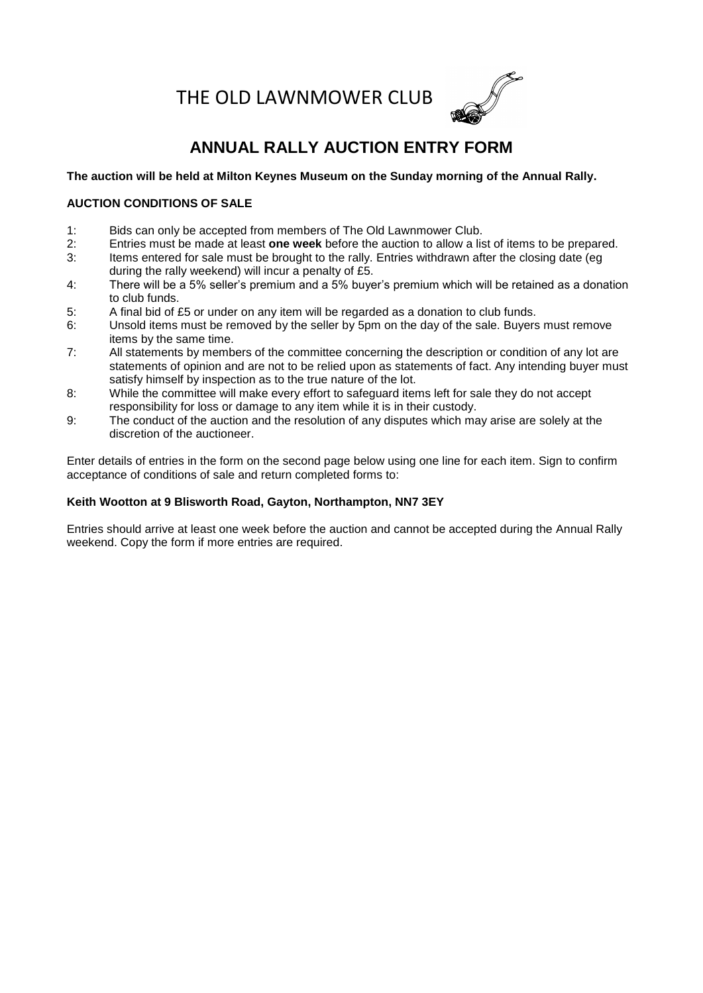THE OLD LAWNMOWER CLUB



# **ANNUAL RALLY AUCTION ENTRY FORM**

### **The auction will be held at Milton Keynes Museum on the Sunday morning of the Annual Rally.**

### **AUCTION CONDITIONS OF SALE**

- 1: Bids can only be accepted from members of The Old Lawnmower Club.
- 2: Entries must be made at least **one week** before the auction to allow a list of items to be prepared.
- 3: Items entered for sale must be brought to the rally. Entries withdrawn after the closing date (eg during the rally weekend) will incur a penalty of £5.
- 4: There will be a 5% seller's premium and a 5% buyer's premium which will be retained as a donation to club funds.
- 5: A final bid of £5 or under on any item will be regarded as a donation to club funds.
- 6: Unsold items must be removed by the seller by 5pm on the day of the sale. Buyers must remove items by the same time.
- 7: All statements by members of the committee concerning the description or condition of any lot are statements of opinion and are not to be relied upon as statements of fact. Any intending buyer must satisfy himself by inspection as to the true nature of the lot.
- 8: While the committee will make every effort to safeguard items left for sale they do not accept responsibility for loss or damage to any item while it is in their custody.
- 9: The conduct of the auction and the resolution of any disputes which may arise are solely at the discretion of the auctioneer.

Enter details of entries in the form on the second page below using one line for each item. Sign to confirm acceptance of conditions of sale and return completed forms to:

### **Keith Wootton at 9 Blisworth Road, Gayton, Northampton, NN7 3EY**

Entries should arrive at least one week before the auction and cannot be accepted during the Annual Rally weekend. Copy the form if more entries are required.